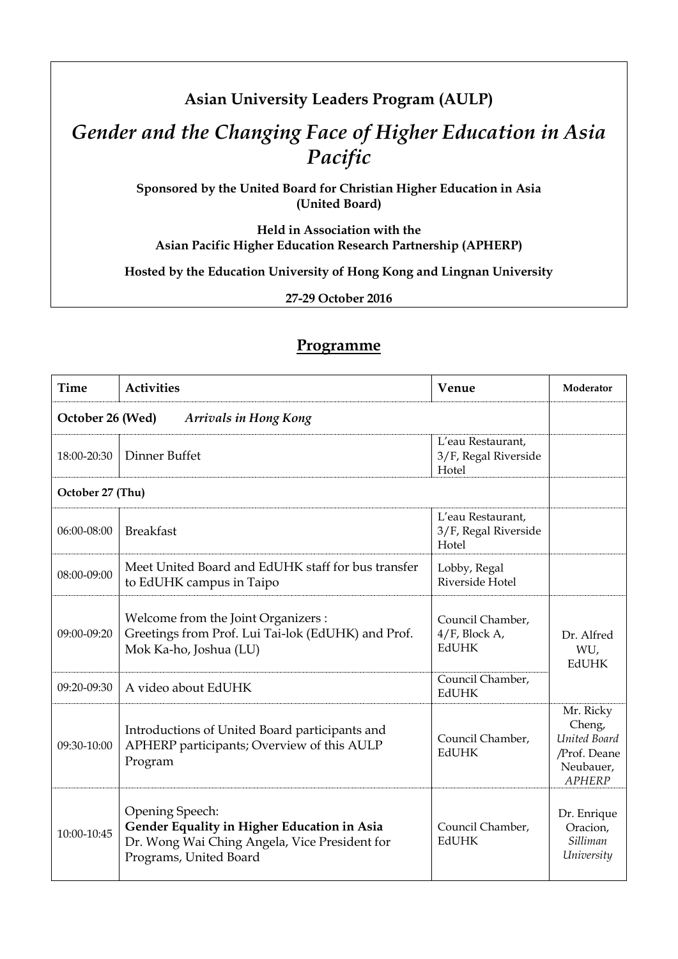## **Asian University Leaders Program (AULP)**

## *Gender and the Changing Face of Higher Education in Asia Pacific*

**Sponsored by the United Board for Christian Higher Education in Asia (United Board)** 

**Held in Association with the Asian Pacific Higher Education Research Partnership (APHERP)** 

**Hosted by the Education University of Hong Kong and Lingnan University** 

**27-29 October 2016** 

## **Programme**

| <b>Time</b>                                      | <b>Activities</b>                                                                                                                         | Venue                                                | Moderator                                                                         |
|--------------------------------------------------|-------------------------------------------------------------------------------------------------------------------------------------------|------------------------------------------------------|-----------------------------------------------------------------------------------|
| October 26 (Wed)<br><b>Arrivals in Hong Kong</b> |                                                                                                                                           |                                                      |                                                                                   |
| 18:00-20:30                                      | Dinner Buffet                                                                                                                             | L'eau Restaurant,<br>3/F, Regal Riverside<br>Hotel   |                                                                                   |
| October 27 (Thu)                                 |                                                                                                                                           |                                                      |                                                                                   |
| 06:00-08:00                                      | <b>Breakfast</b>                                                                                                                          | L'eau Restaurant,<br>3/F, Regal Riverside<br>Hotel   |                                                                                   |
| 08:00-09:00                                      | Meet United Board and EdUHK staff for bus transfer<br>to EdUHK campus in Taipo                                                            | Lobby, Regal<br>Riverside Hotel                      |                                                                                   |
| 09:00-09:20                                      | Welcome from the Joint Organizers :<br>Greetings from Prof. Lui Tai-lok (EdUHK) and Prof.<br>Mok Ka-ho, Joshua (LU)                       | Council Chamber,<br>$4/F$ , Block A,<br><b>EdUHK</b> | Dr. Alfred<br>WU,<br><b>EdUHK</b>                                                 |
| 09:20-09:30                                      | A video about EdUHK                                                                                                                       | Council Chamber,<br><b>EdUHK</b>                     |                                                                                   |
| 09:30-10:00                                      | Introductions of United Board participants and<br>APHERP participants; Overview of this AULP<br>Program                                   | Council Chamber,<br><b>EdUHK</b>                     | Mr. Ricky<br>Cheng,<br>United Board<br>/Prof. Deane<br>Neubauer,<br><b>APHERP</b> |
| 10:00-10:45                                      | Opening Speech:<br>Gender Equality in Higher Education in Asia<br>Dr. Wong Wai Ching Angela, Vice President for<br>Programs, United Board | Council Chamber,<br><b>EdUHK</b>                     | Dr. Enrique<br>Oracion,<br>Silliman<br>University                                 |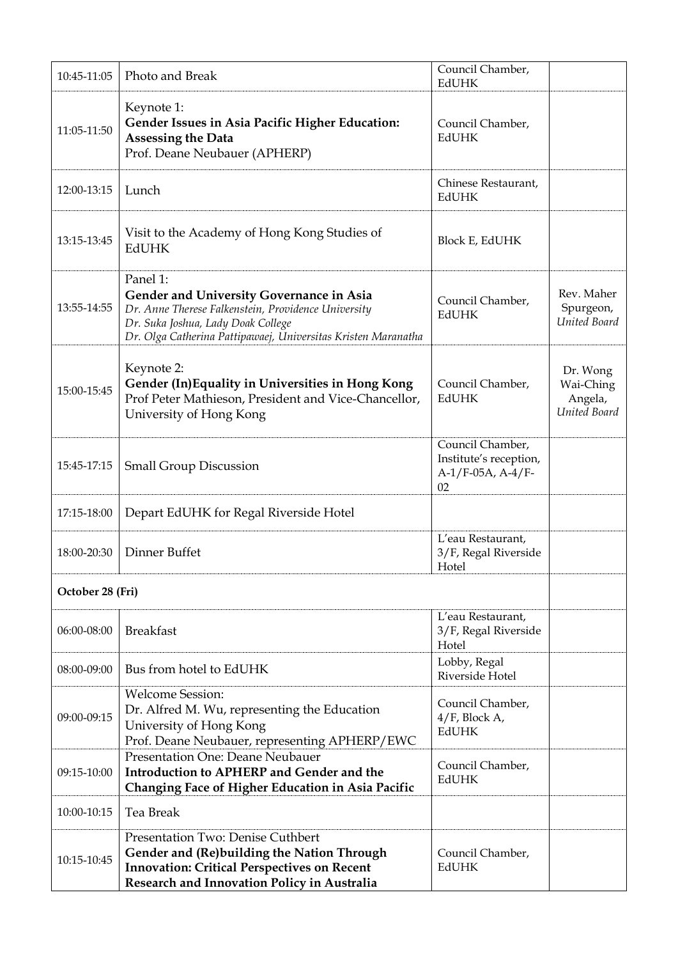| 10:45-11:05      | Photo and Break                                                                                                                                                                                                           | Council Chamber,<br><b>EdUHK</b>                                           |                                                  |
|------------------|---------------------------------------------------------------------------------------------------------------------------------------------------------------------------------------------------------------------------|----------------------------------------------------------------------------|--------------------------------------------------|
| 11:05-11:50      | Keynote 1:<br>Gender Issues in Asia Pacific Higher Education:<br><b>Assessing the Data</b><br>Prof. Deane Neubauer (APHERP)                                                                                               | Council Chamber,<br><b>EdUHK</b>                                           |                                                  |
| 12:00-13:15      | Lunch                                                                                                                                                                                                                     | Chinese Restaurant,<br><b>EdUHK</b>                                        |                                                  |
| 13:15-13:45      | Visit to the Academy of Hong Kong Studies of<br><b>EdUHK</b>                                                                                                                                                              | Block E, EdUHK                                                             |                                                  |
| 13:55-14:55      | Panel 1:<br><b>Gender and University Governance in Asia</b><br>Dr. Anne Therese Falkenstein, Providence University<br>Dr. Suka Joshua, Lady Doak College<br>Dr. Olga Catherina Pattipawaej, Universitas Kristen Maranatha | Council Chamber,<br><b>EdUHK</b>                                           | Rev. Maher<br>Spurgeon,<br>United Board          |
| 15:00-15:45      | Keynote 2:<br>Gender (In)Equality in Universities in Hong Kong<br>Prof Peter Mathieson, President and Vice-Chancellor,<br>University of Hong Kong                                                                         | Council Chamber,<br><b>EdUHK</b>                                           | Dr. Wong<br>Wai-Ching<br>Angela,<br>United Board |
| 15:45-17:15      | <b>Small Group Discussion</b>                                                                                                                                                                                             | Council Chamber,<br>Institute's reception,<br>$A-1/F-05A$ , $A-4/F-$<br>02 |                                                  |
| 17:15-18:00      | Depart EdUHK for Regal Riverside Hotel                                                                                                                                                                                    |                                                                            |                                                  |
| 18:00-20:30      | Dinner Buffet                                                                                                                                                                                                             | L'eau Restaurant,<br>3/F, Regal Riverside<br>Hotel                         |                                                  |
| October 28 (Fri) |                                                                                                                                                                                                                           |                                                                            |                                                  |
| 06:00-08:00      | <b>Breakfast</b>                                                                                                                                                                                                          | L'eau Restaurant,<br>3/F, Regal Riverside<br>Hotel                         |                                                  |
| 08:00-09:00      | Bus from hotel to EdUHK                                                                                                                                                                                                   | Lobby, Regal<br>Riverside Hotel                                            |                                                  |
| 09:00-09:15      | <b>Welcome Session:</b><br>Dr. Alfred M. Wu, representing the Education<br>University of Hong Kong<br>Prof. Deane Neubauer, representing APHERP/EWC                                                                       | Council Chamber,<br>$4/F$ , Block A,<br>EdUHK                              |                                                  |
| 09:15-10:00      | Presentation One: Deane Neubauer<br>Introduction to APHERP and Gender and the<br>Changing Face of Higher Education in Asia Pacific                                                                                        | Council Chamber,<br><b>EdUHK</b>                                           |                                                  |
| 10:00-10:15      | Tea Break                                                                                                                                                                                                                 |                                                                            |                                                  |
| 10:15-10:45      | Presentation Two: Denise Cuthbert<br>Gender and (Re)building the Nation Through<br><b>Innovation: Critical Perspectives on Recent</b><br>Research and Innovation Policy in Australia                                      | Council Chamber,<br><b>EdUHK</b>                                           |                                                  |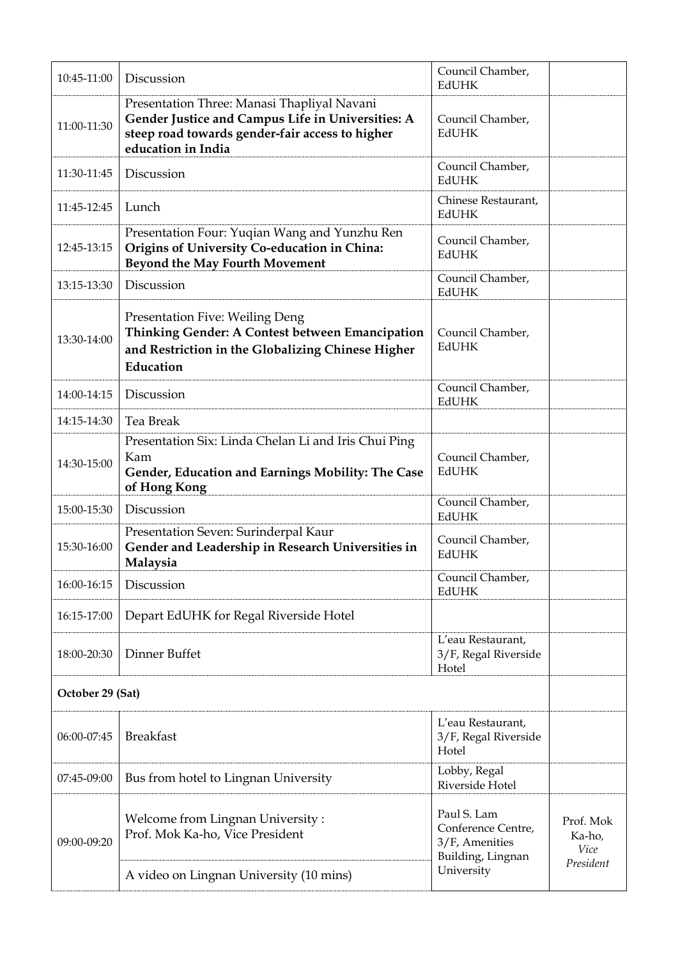| 10:45-11:00 | Discussion                                                                                                                                                                | Council Chamber,<br>EdUHK                                                |                                          |
|-------------|---------------------------------------------------------------------------------------------------------------------------------------------------------------------------|--------------------------------------------------------------------------|------------------------------------------|
| 11:00-11:30 | Presentation Three: Manasi Thapliyal Navani<br>Gender Justice and Campus Life in Universities: A<br>steep road towards gender-fair access to higher<br>education in India | Council Chamber,<br><b>EdUHK</b>                                         |                                          |
| 11:30-11:45 | Discussion                                                                                                                                                                | Council Chamber,<br><b>EdUHK</b>                                         |                                          |
| 11:45-12:45 | Lunch                                                                                                                                                                     | Chinese Restaurant,<br><b>EdUHK</b>                                      |                                          |
| 12:45-13:15 | Presentation Four: Yuqian Wang and Yunzhu Ren<br>Origins of University Co-education in China:<br><b>Beyond the May Fourth Movement</b>                                    | Council Chamber,<br><b>EdUHK</b>                                         |                                          |
| 13:15-13:30 | Discussion                                                                                                                                                                | Council Chamber,<br>EdUHK                                                |                                          |
| 13:30-14:00 | Presentation Five: Weiling Deng<br>Thinking Gender: A Contest between Emancipation<br>and Restriction in the Globalizing Chinese Higher<br>Education                      | Council Chamber,<br><b>EdUHK</b>                                         |                                          |
| 14:00-14:15 | Discussion                                                                                                                                                                | Council Chamber,<br>EdUHK                                                |                                          |
| 14:15-14:30 | Tea Break                                                                                                                                                                 |                                                                          |                                          |
| 14:30-15:00 | Presentation Six: Linda Chelan Li and Iris Chui Ping<br>Kam<br>Gender, Education and Earnings Mobility: The Case<br>of Hong Kong                                          | Council Chamber,<br><b>EdUHK</b>                                         |                                          |
| 15:00-15:30 | Discussion                                                                                                                                                                | Council Chamber,<br><b>EdUHK</b>                                         |                                          |
| 15:30-16:00 | Presentation Seven: Surinderpal Kaur<br>Gender and Leadership in Research Universities in<br>Malaysia                                                                     | Council Chamber,<br>EdUHK                                                |                                          |
| 16:00-16:15 | Discussion                                                                                                                                                                | Council Chamber,<br>EdUHK                                                |                                          |
| 16:15-17:00 | Depart EdUHK for Regal Riverside Hotel                                                                                                                                    |                                                                          |                                          |
| 18:00-20:30 | Dinner Buffet                                                                                                                                                             | L'eau Restaurant,<br>3/F, Regal Riverside<br>Hotel                       |                                          |
|             | October 29 (Sat)                                                                                                                                                          |                                                                          |                                          |
| 06:00-07:45 | <b>Breakfast</b>                                                                                                                                                          | L'eau Restaurant,<br>3/F, Regal Riverside<br>Hotel                       |                                          |
| 07:45-09:00 | Bus from hotel to Lingnan University                                                                                                                                      | Lobby, Regal<br>Riverside Hotel                                          |                                          |
| 09:00-09:20 | Welcome from Lingnan University:<br>Prof. Mok Ka-ho, Vice President                                                                                                       | Paul S. Lam<br>Conference Centre,<br>3/F, Amenities<br>Building, Lingnan | Prof. Mok<br>Ka-ho,<br>Vice<br>President |
|             | A video on Lingnan University (10 mins)                                                                                                                                   | University                                                               |                                          |